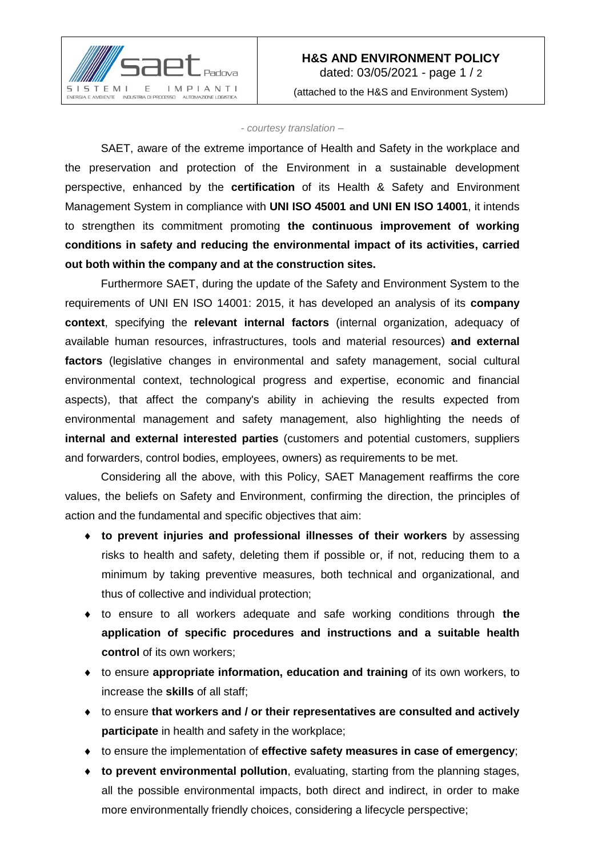

*- courtesy translation –*

SAET, aware of the extreme importance of Health and Safety in the workplace and the preservation and protection of the Environment in a sustainable development perspective, enhanced by the **certification** of its Health & Safety and Environment Management System in compliance with **UNI ISO 45001 and UNI EN ISO 14001**, it intends to strengthen its commitment promoting **the continuous improvement of working conditions in safety and reducing the environmental impact of its activities, carried out both within the company and at the construction sites.**

Furthermore SAET, during the update of the Safety and Environment System to the requirements of UNI EN ISO 14001: 2015, it has developed an analysis of its **company context**, specifying the **relevant internal factors** (internal organization, adequacy of available human resources, infrastructures, tools and material resources) **and external factors** (legislative changes in environmental and safety management, social cultural environmental context, technological progress and expertise, economic and financial aspects), that affect the company's ability in achieving the results expected from environmental management and safety management, also highlighting the needs of **internal and external interested parties** (customers and potential customers, suppliers and forwarders, control bodies, employees, owners) as requirements to be met.

Considering all the above, with this Policy, SAET Management reaffirms the core values, the beliefs on Safety and Environment, confirming the direction, the principles of action and the fundamental and specific objectives that aim:

- **to prevent injuries and professional illnesses of their workers** by assessing risks to health and safety, deleting them if possible or, if not, reducing them to a minimum by taking preventive measures, both technical and organizational, and thus of collective and individual protection;
- to ensure to all workers adequate and safe working conditions through **the application of specific procedures and instructions and a suitable health**  control of its own workers;
- to ensure **appropriate information, education and training** of its own workers, to increase the **skills** of all staff;
- to ensure **that workers and / or their representatives are consulted and actively participate** in health and safety in the workplace;
- to ensure the implementation of **effective safety measures in case of emergency**;
- **to prevent environmental pollution**, evaluating, starting from the planning stages, all the possible environmental impacts, both direct and indirect, in order to make more environmentally friendly choices, considering a lifecycle perspective;